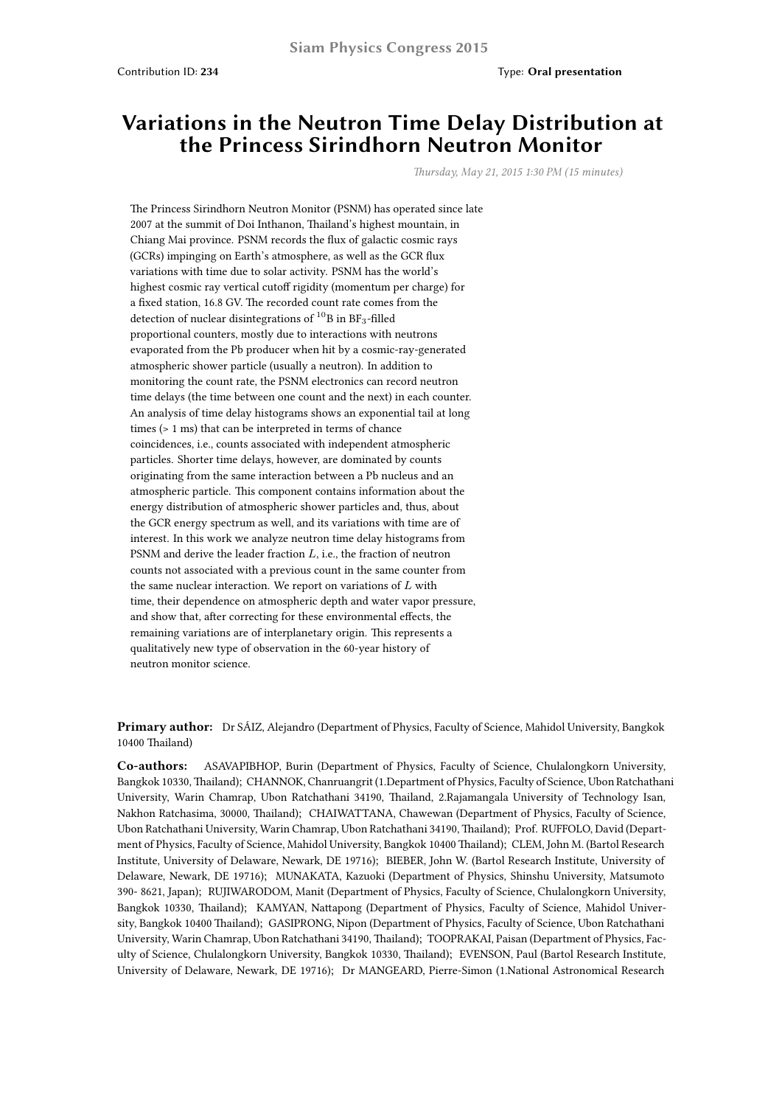## **Variations in the Neutron Time Delay Distribution at the Princess Sirindhorn Neutron Monitor**

*Thursday, May 21, 2015 1:30 PM (15 minutes)*

The Princess Sirindhorn Neutron Monitor (PSNM) has operated since late 2007 at the summit of Doi Inthanon, Thailand's highest mountain, in Chiang Mai province. PSNM records the flux of galactic cosmic rays (GCRs) impinging on Earth's atmosphere, as well as the GCR flux variations with time due to solar activity. PSNM has the world's highest cosmic ray vertical cutoff rigidity (momentum per charge) for a fixed station, 16.8 GV. The recorded count rate comes from the detection of nuclear disintegrations of  $^{10}$ B in BF<sub>3</sub>-filled proportional counters, mostly due to interactions with neutrons evaporated from the Pb producer when hit by a cosmic-ray-generated atmospheric shower particle (usually a neutron). In addition to monitoring the count rate, the PSNM electronics can record neutron time delays (the time between one count and the next) in each counter. An analysis of time delay histograms shows an exponential tail at long times (> 1 ms) that can be interpreted in terms of chance coincidences, i.e., counts associated with independent atmospheric particles. Shorter time delays, however, are dominated by counts originating from the same interaction between a Pb nucleus and an atmospheric particle. This component contains information about the energy distribution of atmospheric shower particles and, thus, about the GCR energy spectrum as well, and its variations with time are of interest. In this work we analyze neutron time delay histograms from PSNM and derive the leader fraction *L*, i.e., the fraction of neutron counts not associated with a previous count in the same counter from the same nuclear interaction. We report on variations of *L* with time, their dependence on atmospheric depth and water vapor pressure, and show that, after correcting for these environmental effects, the remaining variations are of interplanetary origin. This represents a qualitatively new type of observation in the 60-year history of neutron monitor science.

**Primary author:** Dr SÁIZ, Alejandro (Department of Physics, Faculty of Science, Mahidol University, Bangkok 10400 Thailand)

**Co-authors:** ASAVAPIBHOP, Burin (Department of Physics, Faculty of Science, Chulalongkorn University, Bangkok 10330, Thailand); CHANNOK, Chanruangrit (1.Department of Physics, Faculty of Science, Ubon Ratchathani University, Warin Chamrap, Ubon Ratchathani 34190, Thailand, 2.Rajamangala University of Technology Isan, Nakhon Ratchasima, 30000, Thailand); CHAIWATTANA, Chawewan (Department of Physics, Faculty of Science, Ubon Ratchathani University, Warin Chamrap, Ubon Ratchathani 34190, Thailand); Prof. RUFFOLO, David (Department of Physics, Faculty of Science, Mahidol University, Bangkok 10400 Thailand); CLEM, John M. (Bartol Research Institute, University of Delaware, Newark, DE 19716); BIEBER, John W. (Bartol Research Institute, University of Delaware, Newark, DE 19716); MUNAKATA, Kazuoki (Department of Physics, Shinshu University, Matsumoto 390- 8621, Japan); RUJIWARODOM, Manit (Department of Physics, Faculty of Science, Chulalongkorn University, Bangkok 10330, Thailand); KAMYAN, Nattapong (Department of Physics, Faculty of Science, Mahidol University, Bangkok 10400 Thailand); GASIPRONG, Nipon (Department of Physics, Faculty of Science, Ubon Ratchathani University, Warin Chamrap, Ubon Ratchathani 34190, Thailand); TOOPRAKAI, Paisan (Department of Physics, Faculty of Science, Chulalongkorn University, Bangkok 10330, Thailand); EVENSON, Paul (Bartol Research Institute, University of Delaware, Newark, DE 19716); Dr MANGEARD, Pierre-Simon (1.National Astronomical Research